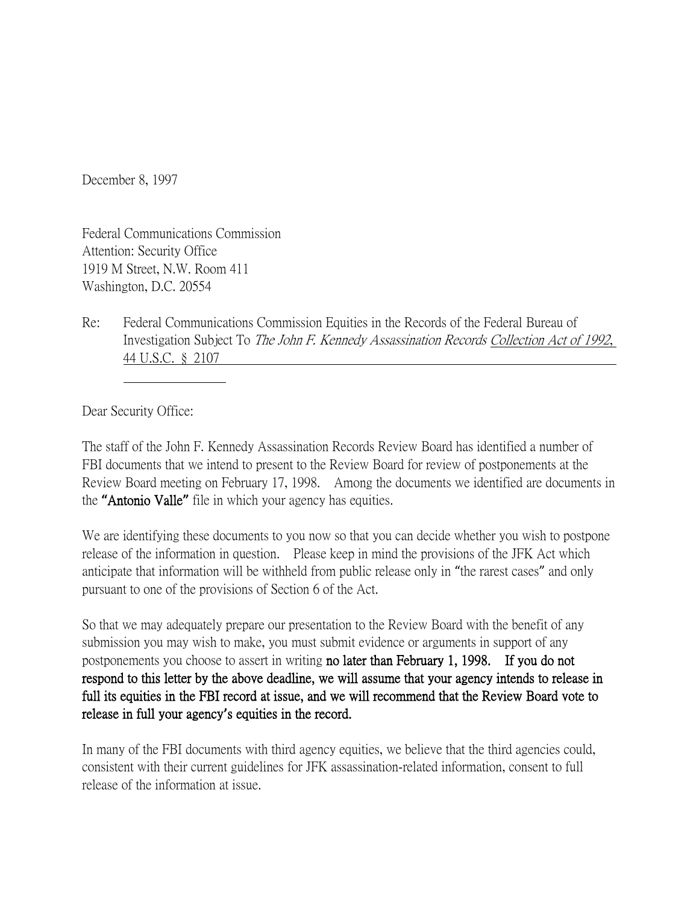December 8, 1997

Federal Communications Commission Attention: Security Office 1919 M Street, N.W. Room 411 Washington, D.C. 20554

Re: Federal Communications Commission Equities in the Records of the Federal Bureau of Investigation Subject To The John F. Kennedy Assassination Records Collection Act of 1992, 44 U.S.C. § 2107

Dear Security Office:

The staff of the John F. Kennedy Assassination Records Review Board has identified a number of FBI documents that we intend to present to the Review Board for review of postponements at the Review Board meeting on February 17, 1998. Among the documents we identified are documents in the **"**Antonio Valle**"** file in which your agency has equities.

We are identifying these documents to you now so that you can decide whether you wish to postpone release of the information in question. Please keep in mind the provisions of the JFK Act which anticipate that information will be withheld from public release only in "the rarest cases" and only pursuant to one of the provisions of Section 6 of the Act.

So that we may adequately prepare our presentation to the Review Board with the benefit of any submission you may wish to make, you must submit evidence or arguments in support of any postponements you choose to assert in writing no later than February 1, 1998. If you do not respond to this letter by the above deadline, we will assume that your agency intends to release in full its equities in the FBI record at issue, and we will recommend that the Review Board vote to release in full your agency**'**s equities in the record.

In many of the FBI documents with third agency equities, we believe that the third agencies could, consistent with their current guidelines for JFK assassination-related information, consent to full release of the information at issue.